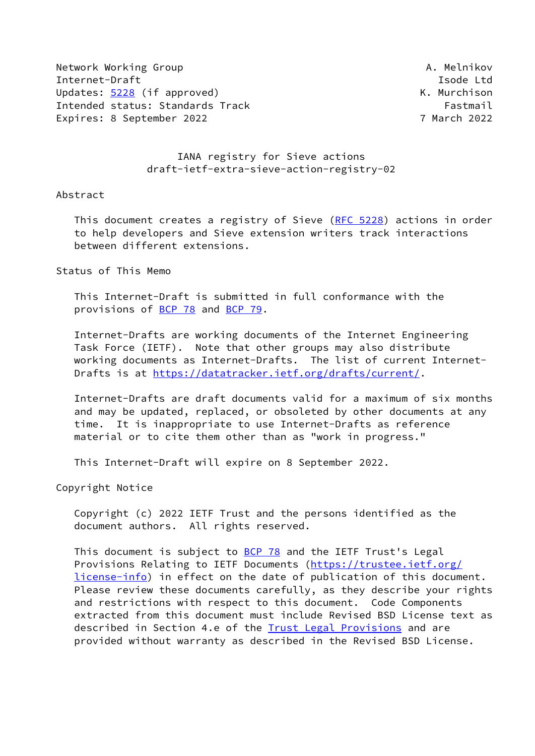Network Working Group **A. Melnikov** A. Melnikov Internet-Draft **Isolat Isom and Isom and Isolat Isolat Isolat Isolat Isolat Isolat Isolat Isolat Isolat Isolat Isolat Isolat Isolat Isolat Isolat Isolat Isolat Isolat Isolat Isolat Isolat Isolat Isolat Isolat Isolat Isolat** Updates: [5228](https://datatracker.ietf.org/doc/pdf/rfc5228) (if approved) Contract Contract Contract Contract Contract Contract Contract Contract Contract Contract Contract Contract Contract Contract Contract Contract Contract Contract Contract Contract Contract Contr Intended status: Standards Track Fastmail Fastmail Expires: 8 September 2022 7 March 2022

# IANA registry for Sieve actions draft-ietf-extra-sieve-action-registry-02

#### Abstract

This document creates a registry of Sieve ([RFC 5228\)](https://datatracker.ietf.org/doc/pdf/rfc5228) actions in order to help developers and Sieve extension writers track interactions between different extensions.

# Status of This Memo

 This Internet-Draft is submitted in full conformance with the provisions of [BCP 78](https://datatracker.ietf.org/doc/pdf/bcp78) and [BCP 79](https://datatracker.ietf.org/doc/pdf/bcp79).

 Internet-Drafts are working documents of the Internet Engineering Task Force (IETF). Note that other groups may also distribute working documents as Internet-Drafts. The list of current Internet Drafts is at<https://datatracker.ietf.org/drafts/current/>.

 Internet-Drafts are draft documents valid for a maximum of six months and may be updated, replaced, or obsoleted by other documents at any time. It is inappropriate to use Internet-Drafts as reference material or to cite them other than as "work in progress."

This Internet-Draft will expire on 8 September 2022.

Copyright Notice

 Copyright (c) 2022 IETF Trust and the persons identified as the document authors. All rights reserved.

This document is subject to **[BCP 78](https://datatracker.ietf.org/doc/pdf/bcp78)** and the IETF Trust's Legal Provisions Relating to IETF Documents ([https://trustee.ietf.org/](https://trustee.ietf.org/license-info) [license-info](https://trustee.ietf.org/license-info)) in effect on the date of publication of this document. Please review these documents carefully, as they describe your rights and restrictions with respect to this document. Code Components extracted from this document must include Revised BSD License text as described in Section 4.e of the [Trust Legal Provisions](https://trustee.ietf.org/license-info) and are provided without warranty as described in the Revised BSD License.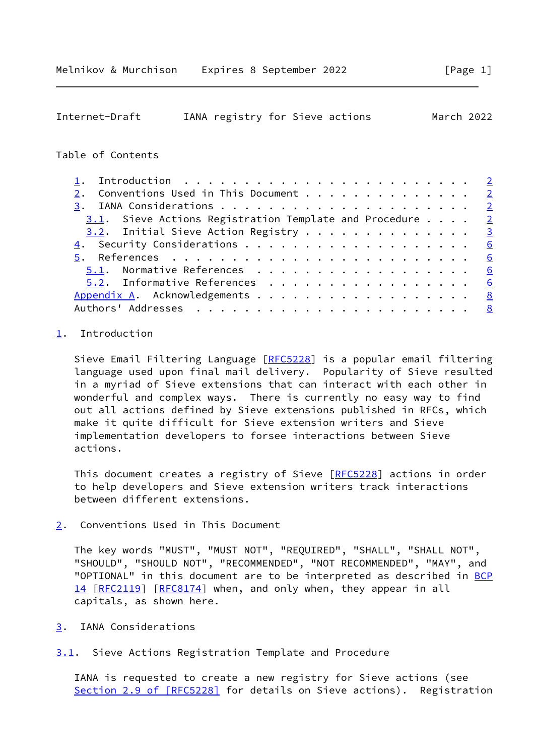<span id="page-1-1"></span>

| Internet-Draft | IANA registry for Sieve actions |  | March 2022 |  |
|----------------|---------------------------------|--|------------|--|
|                |                                 |  |            |  |

# Table of Contents

| 2. Conventions Used in This Document 2                      |  |
|-------------------------------------------------------------|--|
|                                                             |  |
| $3.1$ . Sieve Actions Registration Template and Procedure 2 |  |
| $3.2$ . Initial Sieve Action Registry 3                     |  |
|                                                             |  |
|                                                             |  |
| 5.1. Normative References 6                                 |  |
| 5.2. Informative References 6                               |  |
| Appendix A. Acknowledgements 8                              |  |
|                                                             |  |

### <span id="page-1-0"></span>[1](#page-1-0). Introduction

Sieve Email Filtering Language [\[RFC5228](https://datatracker.ietf.org/doc/pdf/rfc5228)] is a popular email filtering language used upon final mail delivery. Popularity of Sieve resulted in a myriad of Sieve extensions that can interact with each other in wonderful and complex ways. There is currently no easy way to find out all actions defined by Sieve extensions published in RFCs, which make it quite difficult for Sieve extension writers and Sieve implementation developers to forsee interactions between Sieve actions.

This document creates a registry of Sieve [[RFC5228](https://datatracker.ietf.org/doc/pdf/rfc5228)] actions in order to help developers and Sieve extension writers track interactions between different extensions.

<span id="page-1-2"></span>[2](#page-1-2). Conventions Used in This Document

 The key words "MUST", "MUST NOT", "REQUIRED", "SHALL", "SHALL NOT", "SHOULD", "SHOULD NOT", "RECOMMENDED", "NOT RECOMMENDED", "MAY", and "OPTIONAL" in this document are to be interpreted as described in [BCP](https://datatracker.ietf.org/doc/pdf/bcp14) [14](https://datatracker.ietf.org/doc/pdf/bcp14) [[RFC2119\]](https://datatracker.ietf.org/doc/pdf/rfc2119) [\[RFC8174](https://datatracker.ietf.org/doc/pdf/rfc8174)] when, and only when, they appear in all capitals, as shown here.

- <span id="page-1-3"></span>[3](#page-1-3). IANA Considerations
- <span id="page-1-4"></span>[3.1](#page-1-4). Sieve Actions Registration Template and Procedure

 IANA is requested to create a new registry for Sieve actions (see Section [2.9 of \[RFC5228\]](https://datatracker.ietf.org/doc/pdf/rfc5228#section-2.9) for details on Sieve actions). Registration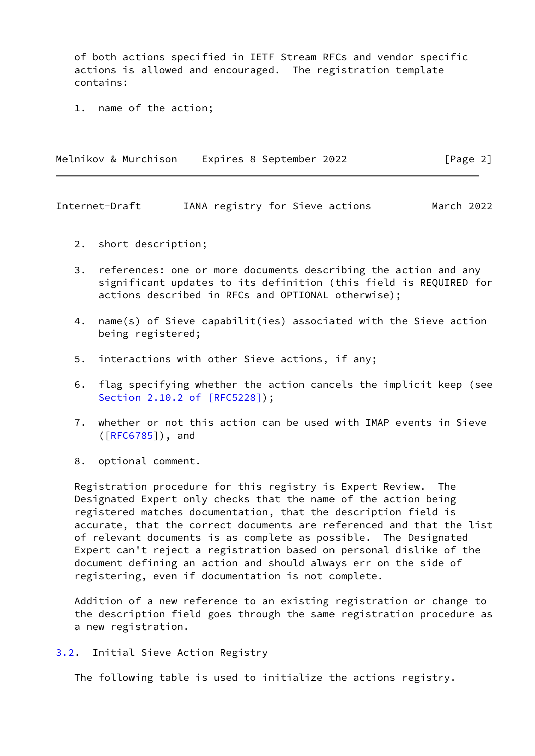of both actions specified in IETF Stream RFCs and vendor specific actions is allowed and encouraged. The registration template contains:

1. name of the action;

| Melnikov & Murchison | Expires 8 September 2022 | [Page 2] |
|----------------------|--------------------------|----------|
|                      |                          |          |

<span id="page-2-1"></span>Internet-Draft IANA registry for Sieve actions March 2022

- 2. short description;
- 3. references: one or more documents describing the action and any significant updates to its definition (this field is REQUIRED for actions described in RFCs and OPTIONAL otherwise);
- 4. name(s) of Sieve capabilit(ies) associated with the Sieve action being registered;
- 5. interactions with other Sieve actions, if any;
- 6. flag specifying whether the action cancels the implicit keep (see Section [2.10.2 of \[RFC5228\]\)](https://datatracker.ietf.org/doc/pdf/rfc5228#section-2.10.2);
- 7. whether or not this action can be used with IMAP events in Sieve  $(\overline{[REG785]})$ , and
- 8. optional comment.

 Registration procedure for this registry is Expert Review. The Designated Expert only checks that the name of the action being registered matches documentation, that the description field is accurate, that the correct documents are referenced and that the list of relevant documents is as complete as possible. The Designated Expert can't reject a registration based on personal dislike of the document defining an action and should always err on the side of registering, even if documentation is not complete.

 Addition of a new reference to an existing registration or change to the description field goes through the same registration procedure as a new registration.

<span id="page-2-0"></span>[3.2](#page-2-0). Initial Sieve Action Registry

The following table is used to initialize the actions registry.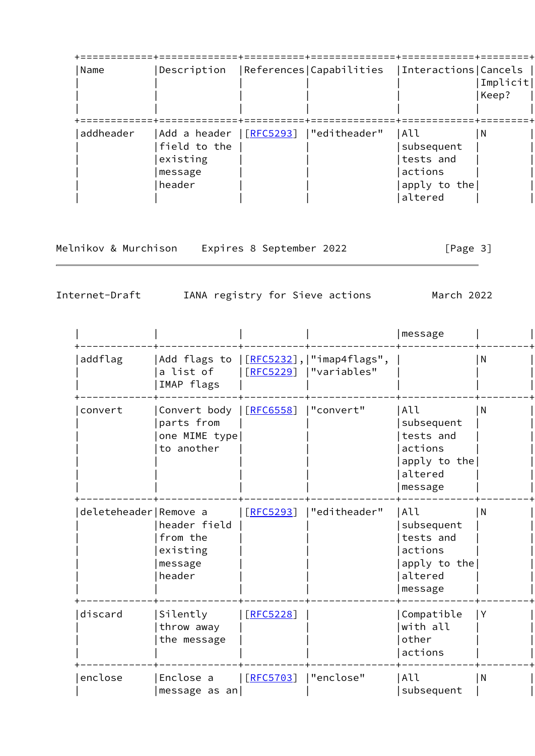| Name      | Description                                                   |                           | References Capabilities | Interactions   Cancels                                               | Implicit <br>Keep? |
|-----------|---------------------------------------------------------------|---------------------------|-------------------------|----------------------------------------------------------------------|--------------------|
| addheader | Add a header<br>field to the<br>existing<br>message<br>header | $\left[\right.$ [RFC5293] | "editheader"            | All<br>subsequent<br>tests and<br>actions<br>apply to the<br>altered | l N                |

Melnikov & Murchison Expires 8 September 2022 [Page 3]

Internet-Draft IANA registry for Sieve actions March 2022

|                         |                                                                                  |           |              | message                                                                         |                |
|-------------------------|----------------------------------------------------------------------------------|-----------|--------------|---------------------------------------------------------------------------------|----------------|
| addflag                 | Add flags to  [ <mark>RFC5232</mark> ], "imap4flags",<br>a list of<br>IMAP flags | [REC5229] | "variables"  |                                                                                 | $\overline{N}$ |
| convert                 | Convert body   [RFC6558]<br>parts from<br>one MIME type<br>to another            |           | "convert"    | All<br>subsequent<br>tests and<br>actions<br>apply to the<br>altered<br>message | l N            |
| deleteheader   Remove a | header field<br>from the<br>existing<br>message<br>header                        | [REC5293] | "editheader" | All<br>subsequent<br>tests and<br>actions<br>apply to the<br>altered<br>message | l N            |
| discard                 | Silently<br>throw away<br>the message                                            | [REC5228] |              | Compatible<br>with all<br>other<br>actions                                      | l Y            |
| enclose                 | Enclose a<br>message as an                                                       | [REC5703] | "enclose"    | All<br>subsequent                                                               | l N            |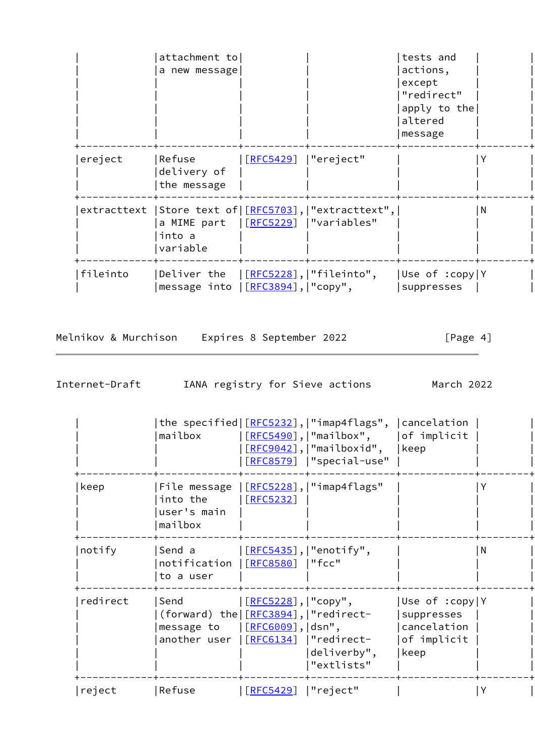|          | attachment to                                                                           |                      |                                                           | tests and                    |     |
|----------|-----------------------------------------------------------------------------------------|----------------------|-----------------------------------------------------------|------------------------------|-----|
|          | a new message                                                                           |                      |                                                           | actions,                     |     |
|          |                                                                                         |                      |                                                           | except                       |     |
|          |                                                                                         |                      |                                                           | "redirect"                   |     |
|          |                                                                                         |                      |                                                           | apply to the                 |     |
|          |                                                                                         |                      |                                                           | altered                      |     |
|          |                                                                                         |                      |                                                           | message                      |     |
| ereject  | Refuse<br>delivery of<br>the message                                                    | [RFC5429]  "ereject" |                                                           |                              |     |
|          | a MIME part   [RFC5229]   "variables"<br>into a<br>variable                             |                      | extracttext   Store text of   [RFC5703],   "extracttext", |                              | l N |
| fileinto | Deliver the  [RFC5228], "fileinto",<br> message into  [ <mark>RFC3894</mark> ], "copy", |                      |                                                           | Use of :copy Y<br>suppresses |     |

Melnikov & Murchison Expires 8 September 2022 [Page 4]

Internet-Draft IANA registry for Sieve actions March 2022

|          | mailbox                                                                                                                                        |                          | the specified $[REC5232]$ , $ $ "imap4flags", $ $ cancelation<br>$[REC5490]$ ,   "mailbox", $ $ of implicit<br>$[REC9042]$ ,   "mailboxid",<br>[RFC8579]  "special-use" | keep                                                                |   |
|----------|------------------------------------------------------------------------------------------------------------------------------------------------|--------------------------|-------------------------------------------------------------------------------------------------------------------------------------------------------------------------|---------------------------------------------------------------------|---|
| keep     | File message<br>into the<br>user's main<br>mailbox                                                                                             | [REC5232]                | $\left[\frac{\text{RFC5228}}{\text{H}}\right],\right]$ "imap4flags"                                                                                                     |                                                                     |   |
| notify   | Send a<br>notification<br>to a user                                                                                                            | <u>[RFC8580</u> ]  "fcc" | $[REC5435]$ ,   "enotify",                                                                                                                                              |                                                                     | N |
| redirect | Send<br>(forward) the $[REC3894]$ ,   "redirect-<br>message to $\left[\frac{\text{RFC6009}}{\text{S09}}\right],  \text{dsn",}$<br>another user | [RFC5228],   "copy",     | [RFC6134]  "redirect-<br>deliverby",<br>"extlists"                                                                                                                      | Use of :copy Y<br>suppresses<br> cancelation<br>of implicit<br>keep |   |
| reject   | Refuse                                                                                                                                         | [REC5429]                | "reject"                                                                                                                                                                |                                                                     |   |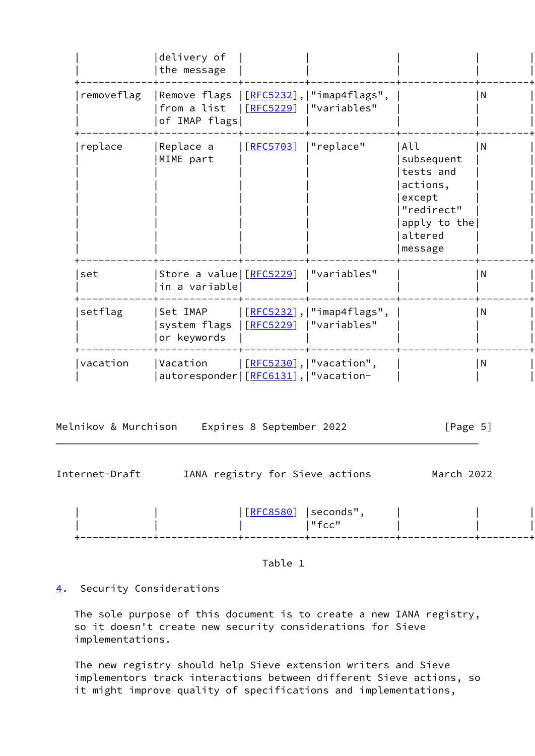|            | delivery of<br>the message                            |                    |                                                                              |                                                                                                          |                |
|------------|-------------------------------------------------------|--------------------|------------------------------------------------------------------------------|----------------------------------------------------------------------------------------------------------|----------------|
| removeflag | from a list<br>of IMAP flags                          |                    | Remove flags  [ <u>RFC5232</u> ], "imap4flags",<br>  [RFC5229]   "variables" |                                                                                                          | $\overline{N}$ |
| replace    | Replace a<br>MIME part                                | [REC5703]          | "replace"                                                                    | All<br>subsequent<br>tests and<br>actions,<br>except<br>"redirect"<br>apply to the<br>altered<br>message | l N            |
| set        | Store a value [RFC5229]  "variables"<br>in a variable |                    |                                                                              |                                                                                                          | $\overline{N}$ |
| setflag    | Set IMAP<br>system flags<br>or keywords               | <u>  [RFC5229]</u> | [ <mark>RFC5232</mark> ], "imap4flags",<br> "variables"                      |                                                                                                          | N              |
| vacation   | Vacation<br>autoresponder   [RFC6131],   "vacation-   |                    | $[$ RFC5230],   "vacation",                                                  |                                                                                                          | $\overline{N}$ |

Melnikov & Murchison Expires 8 September 2022 [Page 5]

<span id="page-5-1"></span>

| Internet-Draft |  |               | IANA registry for Sieve actions | March 2022 |  |
|----------------|--|---------------|---------------------------------|------------|--|
|                |  | $[$ [RFC8580] | seconds",<br>"fcc"              |            |  |
|                |  |               |                                 |            |  |

Table 1

# <span id="page-5-0"></span>[4](#page-5-0). Security Considerations

 The sole purpose of this document is to create a new IANA registry, so it doesn't create new security considerations for Sieve implementations.

 The new registry should help Sieve extension writers and Sieve implementors track interactions between different Sieve actions, so it might improve quality of specifications and implementations,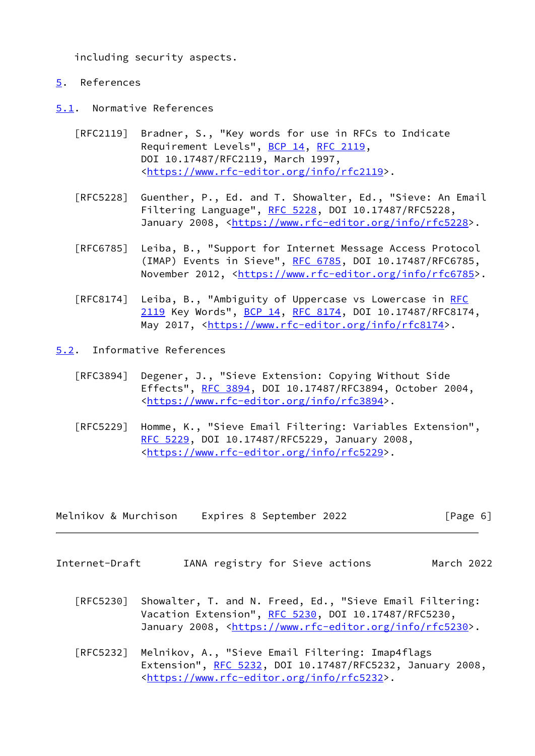including security aspects.

# <span id="page-6-0"></span>[5](#page-6-0). References

<span id="page-6-1"></span>[5.1](#page-6-1). Normative References

- [RFC2119] Bradner, S., "Key words for use in RFCs to Indicate Requirement Levels", [BCP 14](https://datatracker.ietf.org/doc/pdf/bcp14), [RFC 2119](https://datatracker.ietf.org/doc/pdf/rfc2119), DOI 10.17487/RFC2119, March 1997, <[https://www.rfc-editor.org/info/rfc2119>](https://www.rfc-editor.org/info/rfc2119).
- [RFC5228] Guenther, P., Ed. and T. Showalter, Ed., "Sieve: An Email Filtering Language", [RFC 5228](https://datatracker.ietf.org/doc/pdf/rfc5228), DOI 10.17487/RFC5228, January 2008, [<https://www.rfc-editor.org/info/rfc5228](https://www.rfc-editor.org/info/rfc5228)>.
- [RFC6785] Leiba, B., "Support for Internet Message Access Protocol (IMAP) Events in Sieve", [RFC 6785,](https://datatracker.ietf.org/doc/pdf/rfc6785) DOI 10.17487/RFC6785, November 2012, <<https://www.rfc-editor.org/info/rfc6785>>.
- [RFC8174] Leiba, B., "Ambiguity of Uppercase vs Lowercase in [RFC](https://datatracker.ietf.org/doc/pdf/rfc2119) [2119](https://datatracker.ietf.org/doc/pdf/rfc2119) Key Words", [BCP 14](https://datatracker.ietf.org/doc/pdf/bcp14), [RFC 8174,](https://datatracker.ietf.org/doc/pdf/rfc8174) DOI 10.17487/RFC8174, May 2017, [<https://www.rfc-editor.org/info/rfc8174](https://www.rfc-editor.org/info/rfc8174)>.
- <span id="page-6-2"></span>[5.2](#page-6-2). Informative References
	- [RFC3894] Degener, J., "Sieve Extension: Copying Without Side Effects", [RFC 3894](https://datatracker.ietf.org/doc/pdf/rfc3894), DOI 10.17487/RFC3894, October 2004, <[https://www.rfc-editor.org/info/rfc3894>](https://www.rfc-editor.org/info/rfc3894).
	- [RFC5229] Homme, K., "Sieve Email Filtering: Variables Extension", [RFC 5229,](https://datatracker.ietf.org/doc/pdf/rfc5229) DOI 10.17487/RFC5229, January 2008, <[https://www.rfc-editor.org/info/rfc5229>](https://www.rfc-editor.org/info/rfc5229).

| Melnikov & Murchison | Expires 8 September 2022 | [Page 6] |
|----------------------|--------------------------|----------|
|----------------------|--------------------------|----------|

- Internet-Draft IANA registry for Sieve actions March 2022
	- [RFC5230] Showalter, T. and N. Freed, Ed., "Sieve Email Filtering: Vacation Extension", [RFC 5230](https://datatracker.ietf.org/doc/pdf/rfc5230), DOI 10.17487/RFC5230, January 2008, [<https://www.rfc-editor.org/info/rfc5230](https://www.rfc-editor.org/info/rfc5230)>.
	- [RFC5232] Melnikov, A., "Sieve Email Filtering: Imap4flags Extension", [RFC 5232,](https://datatracker.ietf.org/doc/pdf/rfc5232) DOI 10.17487/RFC5232, January 2008, <[https://www.rfc-editor.org/info/rfc5232>](https://www.rfc-editor.org/info/rfc5232).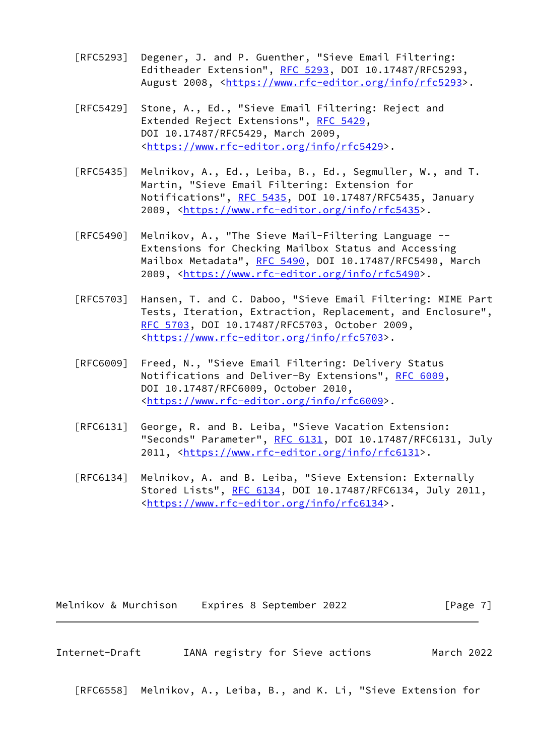- [RFC5293] Degener, J. and P. Guenther, "Sieve Email Filtering: Editheader Extension", [RFC 5293](https://datatracker.ietf.org/doc/pdf/rfc5293), DOI 10.17487/RFC5293, August 2008, [<https://www.rfc-editor.org/info/rfc5293](https://www.rfc-editor.org/info/rfc5293)>.
- [RFC5429] Stone, A., Ed., "Sieve Email Filtering: Reject and Extended Reject Extensions", [RFC 5429](https://datatracker.ietf.org/doc/pdf/rfc5429), DOI 10.17487/RFC5429, March 2009, <[https://www.rfc-editor.org/info/rfc5429>](https://www.rfc-editor.org/info/rfc5429).
- [RFC5435] Melnikov, A., Ed., Leiba, B., Ed., Segmuller, W., and T. Martin, "Sieve Email Filtering: Extension for Notifications", [RFC 5435,](https://datatracker.ietf.org/doc/pdf/rfc5435) DOI 10.17487/RFC5435, January 2009, [<https://www.rfc-editor.org/info/rfc5435](https://www.rfc-editor.org/info/rfc5435)>.
- [RFC5490] Melnikov, A., "The Sieve Mail-Filtering Language -- Extensions for Checking Mailbox Status and Accessing Mailbox Metadata", [RFC 5490](https://datatracker.ietf.org/doc/pdf/rfc5490), DOI 10.17487/RFC5490, March 2009, [<https://www.rfc-editor.org/info/rfc5490](https://www.rfc-editor.org/info/rfc5490)>.
- [RFC5703] Hansen, T. and C. Daboo, "Sieve Email Filtering: MIME Part Tests, Iteration, Extraction, Replacement, and Enclosure", [RFC 5703,](https://datatracker.ietf.org/doc/pdf/rfc5703) DOI 10.17487/RFC5703, October 2009, <[https://www.rfc-editor.org/info/rfc5703>](https://www.rfc-editor.org/info/rfc5703).
- [RFC6009] Freed, N., "Sieve Email Filtering: Delivery Status Notifications and Deliver-By Extensions", [RFC 6009](https://datatracker.ietf.org/doc/pdf/rfc6009), DOI 10.17487/RFC6009, October 2010, <[https://www.rfc-editor.org/info/rfc6009>](https://www.rfc-editor.org/info/rfc6009).
- [RFC6131] George, R. and B. Leiba, "Sieve Vacation Extension: "Seconds" Parameter", [RFC 6131](https://datatracker.ietf.org/doc/pdf/rfc6131), DOI 10.17487/RFC6131, July 2011, [<https://www.rfc-editor.org/info/rfc6131](https://www.rfc-editor.org/info/rfc6131)>.
- [RFC6134] Melnikov, A. and B. Leiba, "Sieve Extension: Externally Stored Lists", [RFC 6134](https://datatracker.ietf.org/doc/pdf/rfc6134), DOI 10.17487/RFC6134, July 2011, <[https://www.rfc-editor.org/info/rfc6134>](https://www.rfc-editor.org/info/rfc6134).

Melnikov & Murchison Expires 8 September 2022 [Page 7]

<span id="page-7-0"></span>Internet-Draft IANA registry for Sieve actions March 2022 [RFC6558] Melnikov, A., Leiba, B., and K. Li, "Sieve Extension for